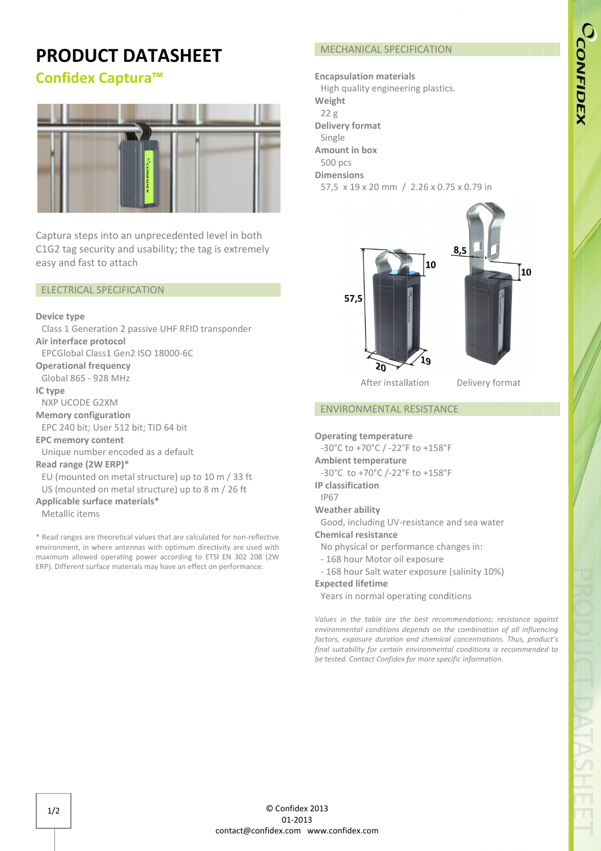# CCONFIDEX

## PRODUCT DATASHEET

### Confidex Captura Captura™ ™



Captura steps into an unprecedented level in both C1G2 tag security and usability; the tag is extremely easy and fast to attach Suptura steps into<br>1G2 tag security a<br>asy and fast to att<br>ELECTRICAL SPECI

#### ELECTRICAL SPECIFICATION

#### Device type

Air interface protocol Class 1 Generation 2 passive UHF RFID transponder EPCGlobal Class1 Gen2 ISO 18000 18000-6C 6C

Operational frequency EPCGlobal Class1 Gen2 ISO 18000-6<br> **perational frequency**<br>
Global 865 - 928 MHz<br> **Citype<br>
NXP UCODE G2XM<br>
Jemory configuration<br>
EPC 240 bit; User 512 bit; TID 64 bit** 

Global 865 - 928 MHz

IC type

NXP UCODE G2XM

Memory configuration

#### EPC memory content

Unique number encoded as a default t; User<br>**y cont**<br>mber e<br>**(2W E**<br>:ed on

#### Read range (2W ERP)\*

EU (mounted on metal structure) up to 10 m / 33 ft

US (mounted on metal structure) up to 8 m / 26 ft

#### Applicable surface materials\*

Metallic items

\* Read ranges are theoretical values that are calculated for non-reflective environment, in where antennas with optimum directivity are used with maximum allowed operating power according to ETSI EN 302 208 (2W ERP). Different surface materials may have an effect on performance. - 928 MHz<br>
E G2XM<br> **figuration**<br>
; User 512 bit; TID 64 bit<br> **reontent**<br>
mber encoded as a default<br> **2W ERP)\***<br>
ed on metal structure) up to 10 r<br>
ed on metal structure) up to 8 m<br> **urface materials\***<br>
ms<br>
re theoretical v

#### Encapsulation

High quality engineering plastics. Weight 22 2 g Delivery format Single Amount in box 500 pcs Dimensions 57,5 x 19 x 20 mm / 2.26 x 0.75 x 0.79 in Single<br>**mount in**<br>500 pcs<br>**imension**<br>57,5 x 19



After installation

Delivery format

#### ENVIRONMENTAL RESISTANCE

Operating temperature

-30°C to +70°C / -22°F to +158°F

#### Ambient temperature

-30°C to +70°C /-22°F to +158°F

#### IP classification classification

IP67

#### Weather ability Weather ability

Good, including UV-resistance and sea water

#### Chemical resistance

- No physical or performance changes in: , including UV-resistance<br>**cal resistance**<br>nysical or performance ch<br>hour Motor oil exposure
- 168 hour Motor oil exposure
- 168 hour Salt water exposure (salinity 10%)

#### Expected lifetime

Years in normal operating conditions

Values in the table are the best recommendations; resistance against environmental conditions depends on the combination of all influencing factors, exposure duration and chemical concentrations. Thus, product's final suitability for certain environmental conditions is recommended to be tested. Contact Confidex for more specific information.